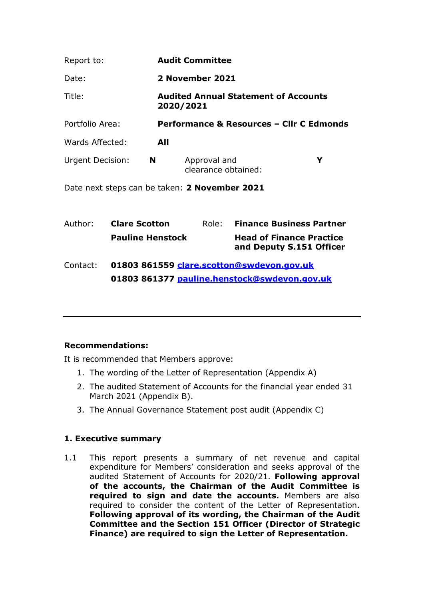| Report to:             |                                                          | <b>Audit Committee</b>                   |   |
|------------------------|----------------------------------------------------------|------------------------------------------|---|
| Date:                  | 2 November 2021                                          |                                          |   |
| Title:                 | <b>Audited Annual Statement of Accounts</b><br>2020/2021 |                                          |   |
| Portfolio Area:        |                                                          | Performance & Resources - Cllr C Edmonds |   |
| Wards Affected:        | All                                                      |                                          |   |
| Urgent Decision:<br>N. |                                                          | Approval and<br>clearance obtained:      | Y |

Date next steps can be taken: 2 November 2021

| Author:  | <b>Clare Scotton</b>                         | Role: | <b>Finance Business Partner</b>                             |  |  |
|----------|----------------------------------------------|-------|-------------------------------------------------------------|--|--|
|          | <b>Pauline Henstock</b>                      |       | <b>Head of Finance Practice</b><br>and Deputy S.151 Officer |  |  |
| Contact: | 01803 861559 clare.scotton@swdevon.gov.uk    |       |                                                             |  |  |
|          | 01803 861377 pauline.henstock@swdevon.gov.uk |       |                                                             |  |  |

#### Recommendations:

It is recommended that Members approve:

- 1. The wording of the Letter of Representation (Appendix A)
- 2. The audited Statement of Accounts for the financial year ended 31 March 2021 (Appendix B).
- 3. The Annual Governance Statement post audit (Appendix C)

#### 1. Executive summary

1.1 This report presents a summary of net revenue and capital expenditure for Members' consideration and seeks approval of the audited Statement of Accounts for 2020/21. Following approval of the accounts, the Chairman of the Audit Committee is required to sign and date the accounts. Members are also required to consider the content of the Letter of Representation. Following approval of its wording, the Chairman of the Audit Committee and the Section 151 Officer (Director of Strategic Finance) are required to sign the Letter of Representation.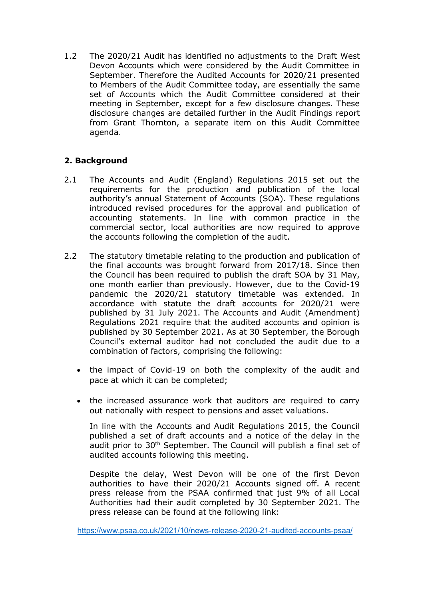1.2 The 2020/21 Audit has identified no adjustments to the Draft West Devon Accounts which were considered by the Audit Committee in September. Therefore the Audited Accounts for 2020/21 presented to Members of the Audit Committee today, are essentially the same set of Accounts which the Audit Committee considered at their meeting in September, except for a few disclosure changes. These disclosure changes are detailed further in the Audit Findings report from Grant Thornton, a separate item on this Audit Committee agenda.

## 2. Background

- 2.1 The Accounts and Audit (England) Regulations 2015 set out the requirements for the production and publication of the local authority's annual Statement of Accounts (SOA). These regulations introduced revised procedures for the approval and publication of accounting statements. In line with common practice in the commercial sector, local authorities are now required to approve the accounts following the completion of the audit.
- 2.2 The statutory timetable relating to the production and publication of the final accounts was brought forward from 2017/18. Since then the Council has been required to publish the draft SOA by 31 May, one month earlier than previously. However, due to the Covid-19 pandemic the 2020/21 statutory timetable was extended. In accordance with statute the draft accounts for 2020/21 were published by 31 July 2021. The Accounts and Audit (Amendment) Regulations 2021 require that the audited accounts and opinion is published by 30 September 2021. As at 30 September, the Borough Council's external auditor had not concluded the audit due to a combination of factors, comprising the following:
	- the impact of Covid-19 on both the complexity of the audit and pace at which it can be completed;
	- the increased assurance work that auditors are required to carry out nationally with respect to pensions and asset valuations.

In line with the Accounts and Audit Regulations 2015, the Council published a set of draft accounts and a notice of the delay in the audit prior to 30<sup>th</sup> September. The Council will publish a final set of audited accounts following this meeting.

Despite the delay, West Devon will be one of the first Devon authorities to have their 2020/21 Accounts signed off. A recent press release from the PSAA confirmed that just 9% of all Local Authorities had their audit completed by 30 September 2021. The press release can be found at the following link:

https://www.psaa.co.uk/2021/10/news-release-2020-21-audited-accounts-psaa/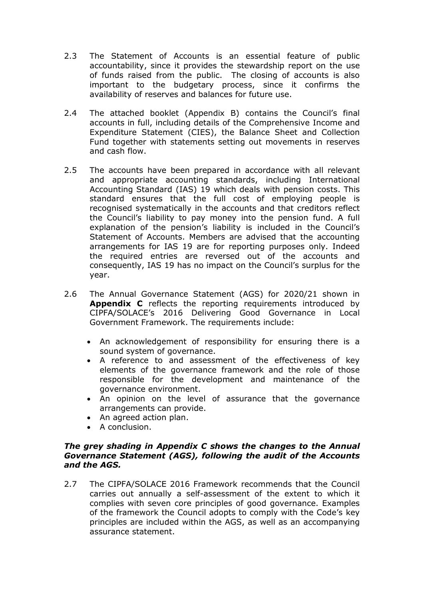- 2.3 The Statement of Accounts is an essential feature of public accountability, since it provides the stewardship report on the use of funds raised from the public. The closing of accounts is also important to the budgetary process, since it confirms the availability of reserves and balances for future use.
- 2.4 The attached booklet (Appendix B) contains the Council's final accounts in full, including details of the Comprehensive Income and Expenditure Statement (CIES), the Balance Sheet and Collection Fund together with statements setting out movements in reserves and cash flow.
- 2.5 The accounts have been prepared in accordance with all relevant and appropriate accounting standards, including International Accounting Standard (IAS) 19 which deals with pension costs. This standard ensures that the full cost of employing people is recognised systematically in the accounts and that creditors reflect the Council's liability to pay money into the pension fund. A full explanation of the pension's liability is included in the Council's Statement of Accounts. Members are advised that the accounting arrangements for IAS 19 are for reporting purposes only. Indeed the required entries are reversed out of the accounts and consequently, IAS 19 has no impact on the Council's surplus for the year.
- 2.6 The Annual Governance Statement (AGS) for 2020/21 shown in Appendix C reflects the reporting requirements introduced by CIPFA/SOLACE's 2016 Delivering Good Governance in Local Government Framework. The requirements include:
	- An acknowledgement of responsibility for ensuring there is a sound system of governance.
	- A reference to and assessment of the effectiveness of key elements of the governance framework and the role of those responsible for the development and maintenance of the governance environment.
	- An opinion on the level of assurance that the governance arrangements can provide.
	- An agreed action plan.
	- A conclusion.

#### The grey shading in Appendix C shows the changes to the Annual Governance Statement (AGS), following the audit of the Accounts and the AGS.

2.7 The CIPFA/SOLACE 2016 Framework recommends that the Council carries out annually a self-assessment of the extent to which it complies with seven core principles of good governance. Examples of the framework the Council adopts to comply with the Code's key principles are included within the AGS, as well as an accompanying assurance statement.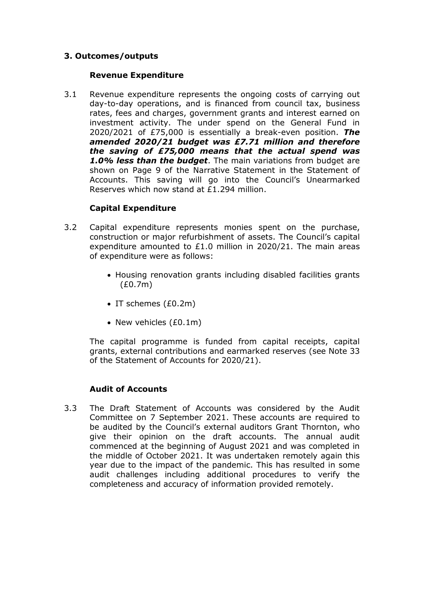### 3. Outcomes/outputs

#### Revenue Expenditure

3.1 Revenue expenditure represents the ongoing costs of carrying out day-to-day operations, and is financed from council tax, business rates, fees and charges, government grants and interest earned on investment activity. The under spend on the General Fund in 2020/2021 of  $E$ 75,000 is essentially a break-even position. The amended 2020/21 budget was £7.71 million and therefore the saving of £75,000 means that the actual spend was 1.0% less than the budget. The main variations from budget are shown on Page 9 of the Narrative Statement in the Statement of Accounts. This saving will go into the Council's Unearmarked Reserves which now stand at £1.294 million.

#### Capital Expenditure

- 3.2 Capital expenditure represents monies spent on the purchase, construction or major refurbishment of assets. The Council's capital expenditure amounted to £1.0 million in 2020/21. The main areas of expenditure were as follows:
	- Housing renovation grants including disabled facilities grants (£0.7m)
	- $\bullet$  IT schemes (£0.2m)
	- New vehicles (£0.1m)

The capital programme is funded from capital receipts, capital grants, external contributions and earmarked reserves (see Note 33 of the Statement of Accounts for 2020/21).

#### Audit of Accounts

3.3 The Draft Statement of Accounts was considered by the Audit Committee on 7 September 2021. These accounts are required to be audited by the Council's external auditors Grant Thornton, who give their opinion on the draft accounts. The annual audit commenced at the beginning of August 2021 and was completed in the middle of October 2021. It was undertaken remotely again this year due to the impact of the pandemic. This has resulted in some audit challenges including additional procedures to verify the completeness and accuracy of information provided remotely.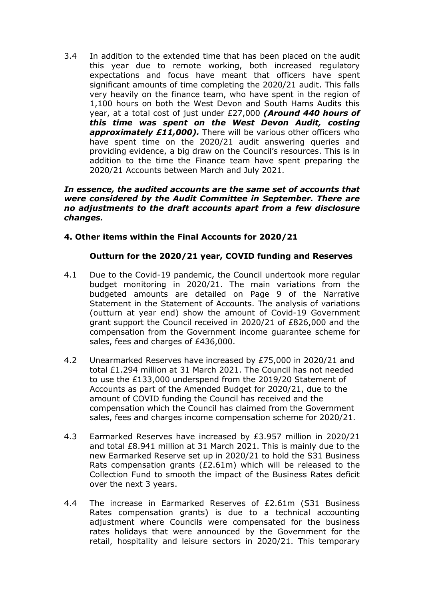3.4 In addition to the extended time that has been placed on the audit this year due to remote working, both increased regulatory expectations and focus have meant that officers have spent significant amounts of time completing the 2020/21 audit. This falls very heavily on the finance team, who have spent in the region of 1,100 hours on both the West Devon and South Hams Audits this year, at a total cost of just under £27,000 (Around 440 hours of this time was spent on the West Devon Audit, costing approximately £11,000). There will be various other officers who have spent time on the 2020/21 audit answering queries and providing evidence, a big draw on the Council's resources. This is in addition to the time the Finance team have spent preparing the 2020/21 Accounts between March and July 2021.

#### In essence, the audited accounts are the same set of accounts that were considered by the Audit Committee in September. There are no adjustments to the draft accounts apart from a few disclosure changes.

#### 4. Other items within the Final Accounts for 2020/21

#### Outturn for the 2020/21 year, COVID funding and Reserves

- 4.1 Due to the Covid-19 pandemic, the Council undertook more regular budget monitoring in 2020/21. The main variations from the budgeted amounts are detailed on Page 9 of the Narrative Statement in the Statement of Accounts. The analysis of variations (outturn at year end) show the amount of Covid-19 Government grant support the Council received in 2020/21 of £826,000 and the compensation from the Government income guarantee scheme for sales, fees and charges of £436,000.
- 4.2 Unearmarked Reserves have increased by £75,000 in 2020/21 and total £1.294 million at 31 March 2021. The Council has not needed to use the £133,000 underspend from the 2019/20 Statement of Accounts as part of the Amended Budget for 2020/21, due to the amount of COVID funding the Council has received and the compensation which the Council has claimed from the Government sales, fees and charges income compensation scheme for 2020/21.
- 4.3 Earmarked Reserves have increased by £3.957 million in 2020/21 and total £8.941 million at 31 March 2021. This is mainly due to the new Earmarked Reserve set up in 2020/21 to hold the S31 Business Rats compensation grants ( $£2.61m$ ) which will be released to the Collection Fund to smooth the impact of the Business Rates deficit over the next 3 years.
- 4.4 The increase in Earmarked Reserves of £2.61m (S31 Business Rates compensation grants) is due to a technical accounting adjustment where Councils were compensated for the business rates holidays that were announced by the Government for the retail, hospitality and leisure sectors in 2020/21. This temporary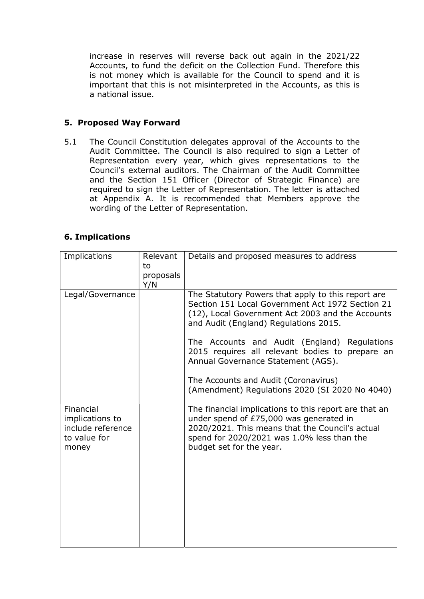increase in reserves will reverse back out again in the 2021/22 Accounts, to fund the deficit on the Collection Fund. Therefore this is not money which is available for the Council to spend and it is important that this is not misinterpreted in the Accounts, as this is a national issue.

## 5. Proposed Way Forward

5.1 The Council Constitution delegates approval of the Accounts to the Audit Committee. The Council is also required to sign a Letter of Representation every year, which gives representations to the Council's external auditors. The Chairman of the Audit Committee and the Section 151 Officer (Director of Strategic Finance) are required to sign the Letter of Representation. The letter is attached at Appendix A. It is recommended that Members approve the wording of the Letter of Representation.

## 6. Implications

| Implications                                                               | Relevant<br>to<br>proposals<br>Y/N | Details and proposed measures to address                                                                                                                                                                                      |
|----------------------------------------------------------------------------|------------------------------------|-------------------------------------------------------------------------------------------------------------------------------------------------------------------------------------------------------------------------------|
| Legal/Governance                                                           |                                    | The Statutory Powers that apply to this report are<br>Section 151 Local Government Act 1972 Section 21<br>(12), Local Government Act 2003 and the Accounts<br>and Audit (England) Regulations 2015.                           |
|                                                                            |                                    | The Accounts and Audit (England) Regulations<br>2015 requires all relevant bodies to prepare an<br>Annual Governance Statement (AGS).                                                                                         |
|                                                                            |                                    | The Accounts and Audit (Coronavirus)<br>(Amendment) Regulations 2020 (SI 2020 No 4040)                                                                                                                                        |
| Financial<br>implications to<br>include reference<br>to value for<br>money |                                    | The financial implications to this report are that an<br>under spend of £75,000 was generated in<br>2020/2021. This means that the Council's actual<br>spend for 2020/2021 was 1.0% less than the<br>budget set for the year. |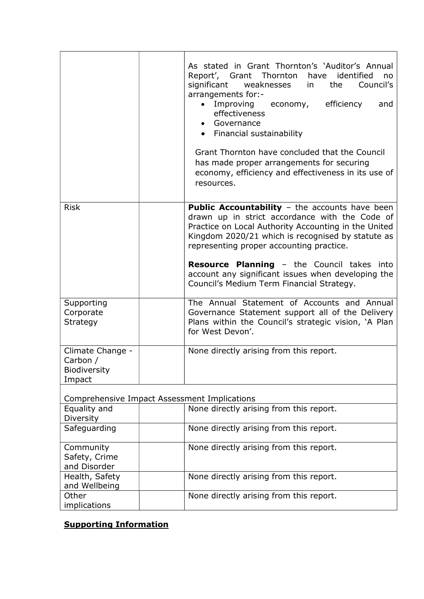|                                                        | As stated in Grant Thornton's 'Auditor's Annual<br>Report', Grant Thornton<br>have<br>identified<br>no<br>Council's<br>significant weaknesses<br>the<br>in l<br>arrangements for:-<br>Improving<br>economy, efficiency<br>and<br>effectiveness<br>• Governance<br>• Financial sustainability<br>Grant Thornton have concluded that the Council<br>has made proper arrangements for securing<br>economy, efficiency and effectiveness in its use of<br>resources. |
|--------------------------------------------------------|------------------------------------------------------------------------------------------------------------------------------------------------------------------------------------------------------------------------------------------------------------------------------------------------------------------------------------------------------------------------------------------------------------------------------------------------------------------|
| <b>Risk</b>                                            | <b>Public Accountability - the accounts have been</b><br>drawn up in strict accordance with the Code of<br>Practice on Local Authority Accounting in the United<br>Kingdom 2020/21 which is recognised by statute as<br>representing proper accounting practice.<br><b>Resource Planning - the Council takes into</b><br>account any significant issues when developing the<br>Council's Medium Term Financial Strategy.                                         |
| Supporting<br>Corporate<br>Strategy                    | The Annual Statement of Accounts and Annual<br>Governance Statement support all of the Delivery<br>Plans within the Council's strategic vision, 'A Plan<br>for West Devon'.                                                                                                                                                                                                                                                                                      |
| Climate Change -<br>Carbon /<br>Biodiversity<br>Impact | None directly arising from this report.                                                                                                                                                                                                                                                                                                                                                                                                                          |
| Comprehensive Impact Assessment Implications           |                                                                                                                                                                                                                                                                                                                                                                                                                                                                  |
| Equality and<br>Diversity                              | None directly arising from this report.                                                                                                                                                                                                                                                                                                                                                                                                                          |
| Safeguarding                                           | None directly arising from this report.                                                                                                                                                                                                                                                                                                                                                                                                                          |
| Community<br>Safety, Crime<br>and Disorder             | None directly arising from this report.                                                                                                                                                                                                                                                                                                                                                                                                                          |
| Health, Safety<br>and Wellbeing                        | None directly arising from this report.                                                                                                                                                                                                                                                                                                                                                                                                                          |
| Other<br>implications                                  | None directly arising from this report.                                                                                                                                                                                                                                                                                                                                                                                                                          |

# Supporting Information